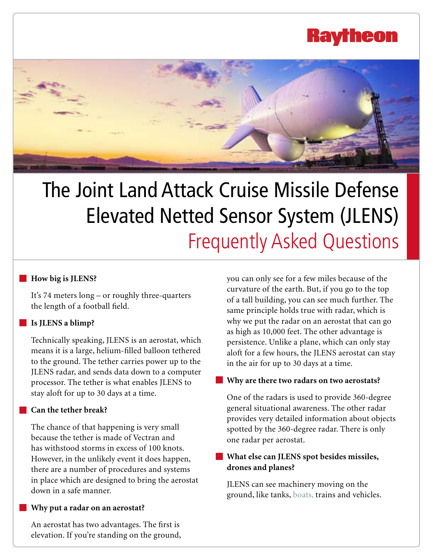## **Raytheo**



# The Joint Land Attack Cruise Missile Defense Elevated Netted Sensor System (JLENS) Frequently Asked Questions

### **How big is JLENS?**

It's 74 meters long – or roughly three-quarters the length of a football field.

### **Is JLENS a blimp?**

Technically speaking, JLENS is an aerostat, which means it is a large, helium-filled balloon tethered to the ground. The tether carries power up to the JLENS radar, and sends data down to a computer processor. The tether is what enables JLENS to stay aloft for up to 30 days at a time.

### **Can the tether break?**

The chance of that happening is very small because the tether is made of Vectran and has withstood storms in excess of 100 knots. However, in the unlikely event it does happen, there are a number of procedures and systems in place which are designed to bring the aerostat down in a safe manner.

### **Why put a radar on an aerostat?**

An aerostat has two advantages. The first is elevation. If you're standing on the ground, you can only see for a few miles because of the curvature of the earth. But, if you go to the top of a tall building, you can see much further. The same principle holds true with radar, which is why we put the radar on an aerostat that can go as high as 10,000 feet. The other advantage is persistence. Unlike a plane, which can only stay aloft for a few hours, the JLENS aerostat can stay in the air for up to 30 days at a time.

### **Why are there two radars on two aerostats?**

One of the radars is used to provide 360-degree general situational awareness. The other radar provides very detailed information about objects spotted by the 360-degree radar. There is only one radar per aerostat.

### **What else can JLENS spot besides missiles, drones and planes?**

JLENS can see machinery moving on the ground, like tanks, [boats,](http://raytheon.mediaroom.com/index.php?s=43&item=2197) trains and vehicles.